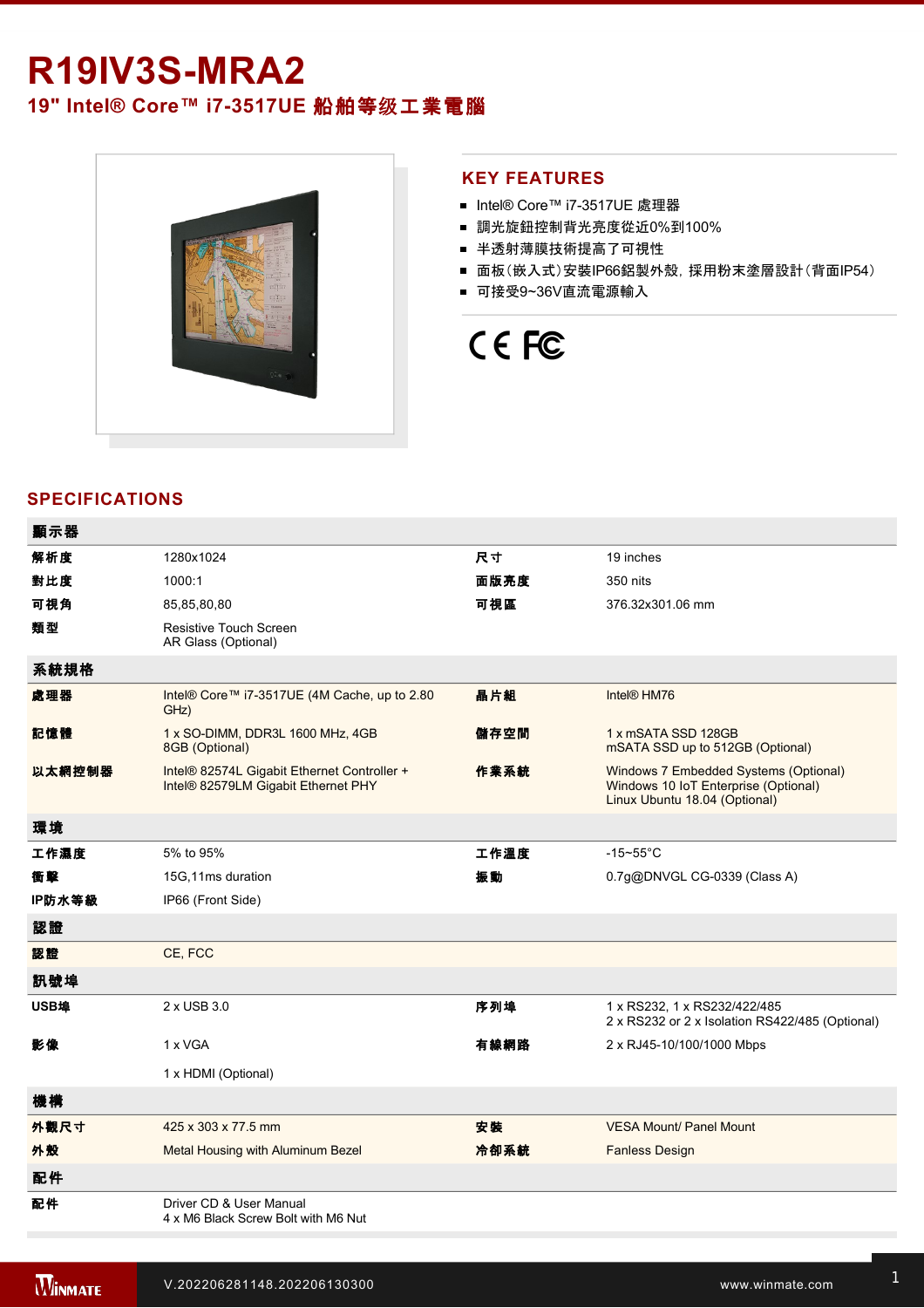## **R19IV3S-MRA2**

**19" Intel® Core™ i7-3517UE 船舶等级工業電腦** 



#### **KEY FEATURES**

- Intel® Core™ i7-3517UE 處理器
- 調光旋鈕控制背光亮度從近0%到100%
- 半透射薄膜技術提高了可視性
- 面板(嵌入式)安裝IP66鋁製外殼, 採用粉末塗層設計(背面IP54)
- 可接受9~36V直流電源輸入

# CE FC

#### **SPECIFICATIONS**

| 顯示器    |                                                                                    |      |                                                                                                                |
|--------|------------------------------------------------------------------------------------|------|----------------------------------------------------------------------------------------------------------------|
| 解析度    | 1280x1024                                                                          | 尺寸   | 19 inches                                                                                                      |
| 對比度    | 1000:1                                                                             | 面版亮度 | 350 nits                                                                                                       |
| 可視角    | 85,85,80,80                                                                        | 可視區  | 376.32x301.06 mm                                                                                               |
| 類型     | Resistive Touch Screen<br>AR Glass (Optional)                                      |      |                                                                                                                |
| 系統規格   |                                                                                    |      |                                                                                                                |
| 處理器    | Intel® Core™ i7-3517UE (4M Cache, up to 2.80<br>GHz)                               | 晶片組  | Intel <sup>®</sup> HM76                                                                                        |
| 記憶體    | 1 x SO-DIMM, DDR3L 1600 MHz, 4GB<br>8GB (Optional)                                 | 儲存空間 | 1 x mSATA SSD 128GB<br>mSATA SSD up to 512GB (Optional)                                                        |
| 以太網控制器 | Intel® 82574L Gigabit Ethernet Controller +<br>Intel® 82579LM Gigabit Ethernet PHY | 作業系統 | Windows 7 Embedded Systems (Optional)<br>Windows 10 IoT Enterprise (Optional)<br>Linux Ubuntu 18.04 (Optional) |
| 環境     |                                                                                    |      |                                                                                                                |
| 工作濕度   | 5% to 95%                                                                          | 工作溫度 | $-15 - 55$ °C                                                                                                  |
| 衝擊     | 15G,11ms duration                                                                  | 振動   | 0.7g@DNVGL CG-0339 (Class A)                                                                                   |
| IP防水等級 | IP66 (Front Side)                                                                  |      |                                                                                                                |
| 認證     |                                                                                    |      |                                                                                                                |
| 認證     | CE, FCC                                                                            |      |                                                                                                                |
| 訊號埠    |                                                                                    |      |                                                                                                                |
| USB埠   | 2 x USB 3.0                                                                        | 序列埠  | 1 x RS232, 1 x RS232/422/485<br>2 x RS232 or 2 x Isolation RS422/485 (Optional)                                |
| 影像     | 1 x VGA                                                                            | 有線網路 | 2 x RJ45-10/100/1000 Mbps                                                                                      |
|        | 1 x HDMI (Optional)                                                                |      |                                                                                                                |
| 機構     |                                                                                    |      |                                                                                                                |
| 外觀尺寸   | 425 x 303 x 77.5 mm                                                                | 安装   | <b>VESA Mount/ Panel Mount</b>                                                                                 |
| 外殼     | Metal Housing with Aluminum Bezel                                                  | 冷卻系統 | <b>Fanless Design</b>                                                                                          |
| 配件     |                                                                                    |      |                                                                                                                |
| 配件     | Driver CD & User Manual<br>4 x M6 Black Screw Bolt with M6 Nut                     |      |                                                                                                                |